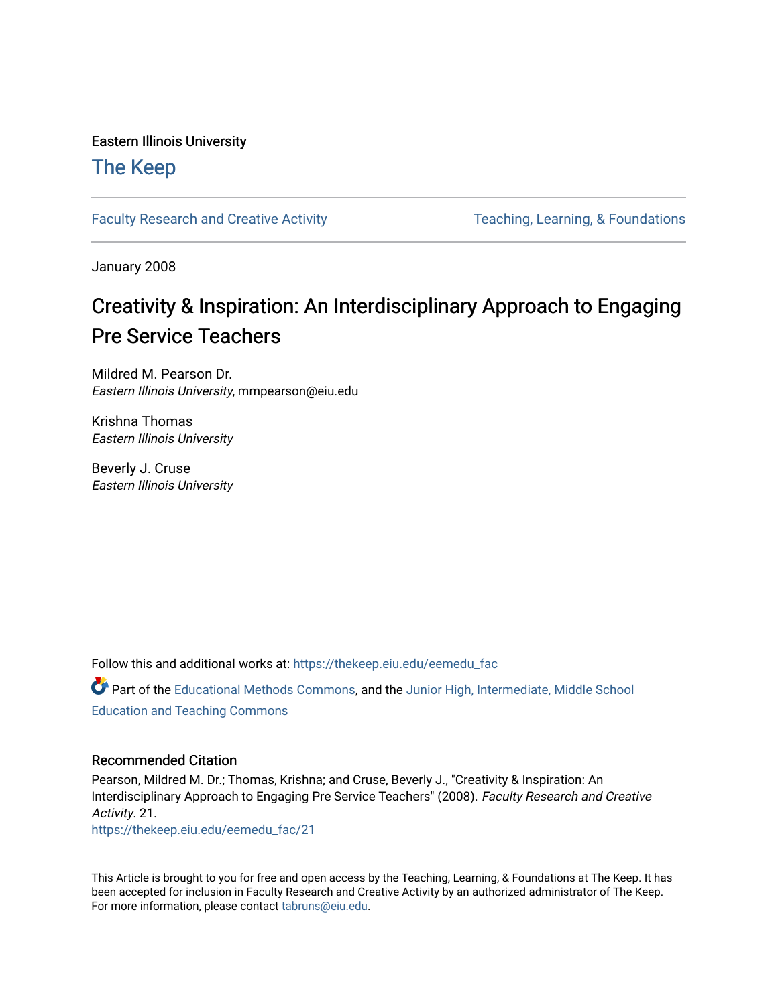#### Eastern Illinois University

## [The Keep](https://thekeep.eiu.edu/)

[Faculty Research and Creative Activity](https://thekeep.eiu.edu/eemedu_fac) Teaching, Learning, & Foundations

January 2008

# Creativity & Inspiration: An Interdisciplinary Approach to Engaging Pre Service Teachers

Mildred M. Pearson Dr. Eastern Illinois University, mmpearson@eiu.edu

Krishna Thomas Eastern Illinois University

Beverly J. Cruse Eastern Illinois University

Follow this and additional works at: [https://thekeep.eiu.edu/eemedu\\_fac](https://thekeep.eiu.edu/eemedu_fac?utm_source=thekeep.eiu.edu%2Feemedu_fac%2F21&utm_medium=PDF&utm_campaign=PDFCoverPages) 

Part of the [Educational Methods Commons,](http://network.bepress.com/hgg/discipline/1227?utm_source=thekeep.eiu.edu%2Feemedu_fac%2F21&utm_medium=PDF&utm_campaign=PDFCoverPages) and the [Junior High, Intermediate, Middle School](http://network.bepress.com/hgg/discipline/807?utm_source=thekeep.eiu.edu%2Feemedu_fac%2F21&utm_medium=PDF&utm_campaign=PDFCoverPages) [Education and Teaching Commons](http://network.bepress.com/hgg/discipline/807?utm_source=thekeep.eiu.edu%2Feemedu_fac%2F21&utm_medium=PDF&utm_campaign=PDFCoverPages) 

#### Recommended Citation

Pearson, Mildred M. Dr.; Thomas, Krishna; and Cruse, Beverly J., "Creativity & Inspiration: An Interdisciplinary Approach to Engaging Pre Service Teachers" (2008). Faculty Research and Creative Activity. 21.

[https://thekeep.eiu.edu/eemedu\\_fac/21](https://thekeep.eiu.edu/eemedu_fac/21?utm_source=thekeep.eiu.edu%2Feemedu_fac%2F21&utm_medium=PDF&utm_campaign=PDFCoverPages) 

This Article is brought to you for free and open access by the Teaching, Learning, & Foundations at The Keep. It has been accepted for inclusion in Faculty Research and Creative Activity by an authorized administrator of The Keep. For more information, please contact [tabruns@eiu.edu](mailto:tabruns@eiu.edu).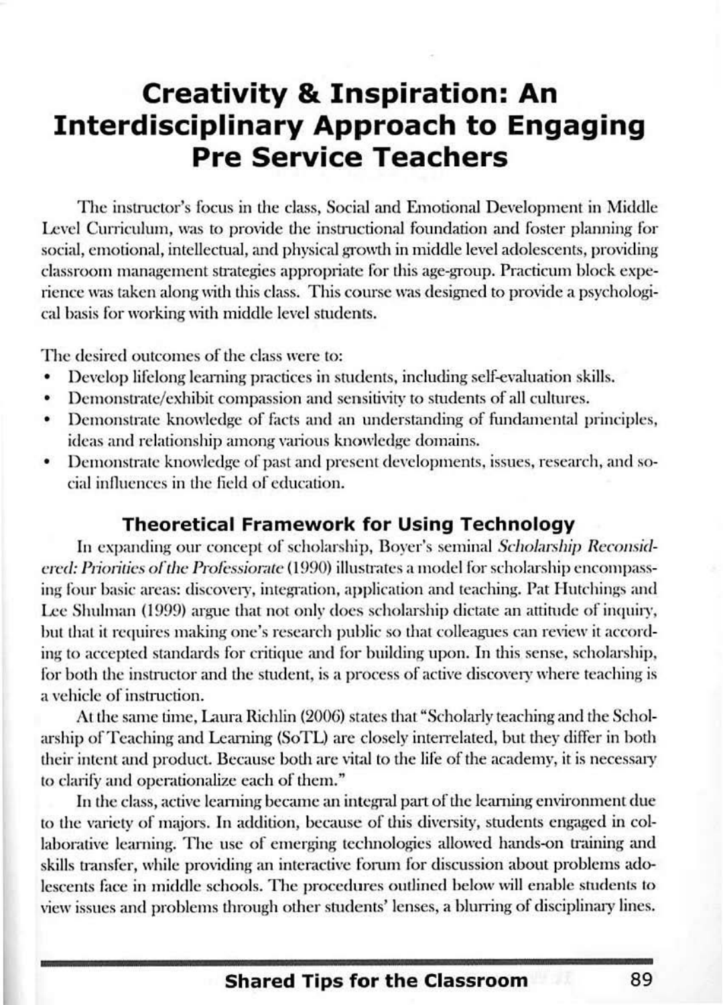# **Creativity & Inspiration: An Interdisciplinary Approach to Engaging Pre Service Teachers**

The instructor's focus in the class, Social and Emotional Development in Middle Level Curriculum, was to provide the instructional foundation and foster planning for social, emotional, intellectual, and physical growth in middle level adolescents, providing classroom management strategies appropriate for this age-group. Practicum block experience was taken along with this class. This course was designed to provide a psychological basis for working with middle level studenrs.

The desired outcomes of the class were to:

- Develop lifelong learning practices in students, including self-evaluation skills.
- Demonstrate/ exhibit compassion and sensitivity to students of all cultures.
- Demonstrate knowledge of facts and an understanding of fundamental principles, ideas and relationship among various knowledge domains.
- Demonstrate knowledge of past and present developments, issues, research, and social influences in the field of education.

#### **Theoretical Framework for Using Technology**

In expanding our concept of scholarship, Boyer's seminal *Scholarship Reconsidcred: Priorities of the Professiorate* (1990) illustrates a model for scholarship encompassing four basic areas: discovery, integration, application and teaching. Pat Hutchings and Lee Shulman (1999) argue that not only does scholarship dictate an attitude of inquiry, but that it requires making one's research public so that colleagues can review it according to accepted standards for critique and for building upon. In this sense, scholarship, for both the instructor and the student, is a process of active discovery where teaching is a vehicle of instruction.

At the same time, Laura Richlin (2006) states that "Scholarly teaching and the Scholarship of Teaching and Learning (SoTL) are closely interrelated, but they differ in both their intent and product. Because both are vital to the life of the academy, it is necessary to clarify and operationalize each of them."

In the class, active learning became an integral part of the learning environment due to the variety of majors. In addition, because of this diversity, students engaged in collaborative learning. The use of emerging technologies allowed hands-on training and skills transfer, while providing an interactive forum for discussion about problems adolescents face in middle schools. The procedures outlined below will enable students to view issues and problems through other students' lenses, a blurring of disciplinary lines.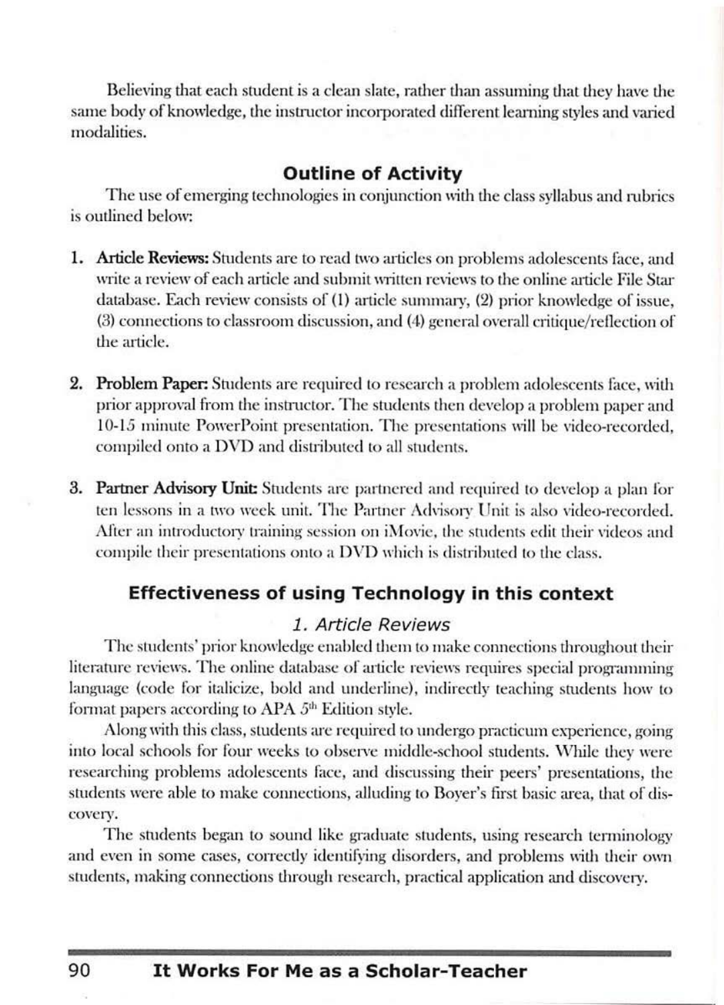Believing that each student is a clean slate, rather than assuming that they have the same body of knowledge, the instructor incorporated different learning styles and varied modalities.

### **Outline of Activity**

The use of emerging technologies in conjunction with the class syllabus and rubrics is outlined below:

- 1. Article Reviews: Students are to read two articles on problems adolescents face, and write a review of each article and submit written reviews to the online article File Star database. Each review consists of (1) article summary, (2) prior knowledge of issue,  $(3)$  connections to classroom discussion, and  $(4)$  general overall critique/reflection of the article.
- 2. Problem Paper: Students are required to research a problem adolescents face, with prior approval from the instructor. The students then develop a problem paper and 10-15 minute PowerPoint presentation. The presentations will be video-recorded, compiled onto a DVD and distributed to all students.
- **3. Partner Advisory Unit:** Students are partnered and required to develop a plan for ten lessons in a two week unit. The Partner Advisory Unit is also video-recorded. After an introductory training session on iMovie, the students edit their videos and compile their presentations onto a DVD which is distributed to the class.

### **Effectiveness of using Technology in this context**

#### 1. Article Reviews

The students' prior knowledge enabled them to make connections throughout their literature reviews. The online database of article reviews requires special programming language (code for italicize, bold and underline), indirectly teaching students how to format papers according to APA  $5<sup>th</sup>$  Edition style.

Along with this class, students are required to undergo practicum experience, going into local schools for four weeks to observe middle-school students. While they were researching problems adolescents face, and discussing their peers' presentations, the students were able to make connections, alluding to Boyer's first basic area, that of discovery.

The students began to sound like graduate students, using research terminology and even in some cases, correctly identifying disorders, and problems with their own students, making connections through research, practical application and discovery.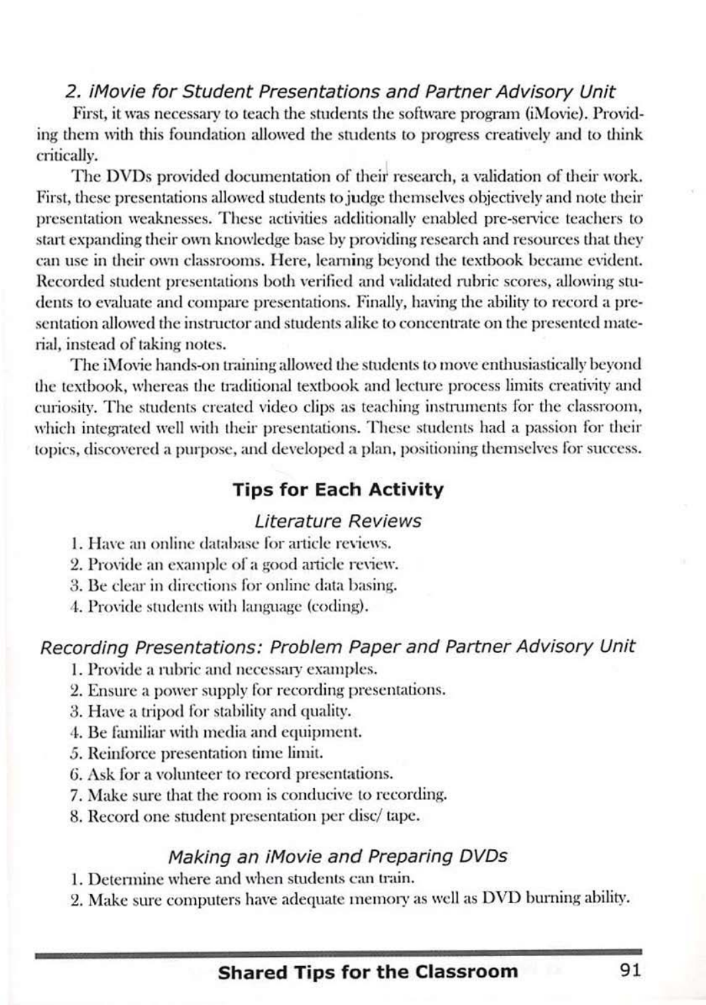#### 2. iMovie for Student Presentations and Partner Advisory Unit

First, it was necessary to teach the students the software program (iMovie). Providing them with this foundation allowed the students to progress creatively and to think critically.

The DVDs provided documentation of their research, a validation of their work. First, these presentations allowed students to judge themselves objectively and note their presentation weaknesses. These activities additionally enabled pre-service teachers to start expanding their own knowledge base by providing research and resources that they can use in their own classrooms. Here, learning beyond the textbook became evident. Recorded student presentations both verified and validated rubric scores, allowing students to evaluate and compare presentations. Finally, having the ability to record a presentation allowed the instructor and students alike to concentrate on the presented material, instead of taking notes.

The iMovie hands-on training allowed the students to move enthusiastically beyond the textbook, whereas the traditional textbook and lecture process limits creativity and curiosity. The students created video clips as teaching instruments for the classroom, which integrated well with their presentations. These students had a passion for their topics, discovered a purpose, and developed a plan, positioning themselves for success.

## **Tips for Each Activity**

#### **Literature Reviews**

- 1. Have an online database for article reviews.
- 2. Provide an example of a good article review.
- 3. Be clear in directions for online data basing.
- 4. Provide students with language (coding).

### Recording Presentations: Problem Paper and Partner Advisory Unit

- 1. Provide a rubric and necessary examples.
- 2. Ensure a power supply for recording presentations.
- 3. Have a tripod for stability and quality.
- 4. Be familiar with media and equipment.
- 5. Reinforce presentation time limit.
- 6. Ask for a volunteer to record presentations.
- 7. Make sure that the room is conducive to recording.
- 8. Record one student presentation per disc/tape.

#### Making an iMovie and Preparing DVDs

- 1. Determine where and when students can train.
- 2. Make sure computers have adequate memory as well as DVD burning ability.